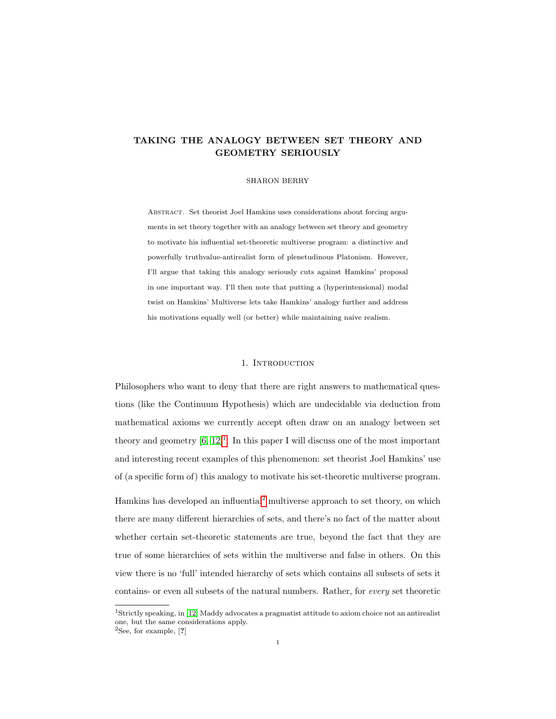# TAKING THE ANALOGY BETWEEN SET THEORY AND GEOMETRY SERIOUSLY

#### SHARON BERRY

Abstract. Set theorist Joel Hamkins uses considerations about forcing arguments in set theory together with an analogy between set theory and geometry to motivate his influential set-theoretic multiverse program: a distinctive and powerfully truthvalue-antirealist form of plenetudinous Platonism. However, I'll argue that taking this analogy seriously cuts against Hamkins' proposal in one important way. I'll then note that putting a (hyperintensional) modal twist on Hamkins' Multiverse lets take Hamkins' analogy further and address his motivations equally well (or better) while maintaining naive realism.

# 1. INTRODUCTION

Philosophers who want to deny that there are right answers to mathematical questions (like the Continuum Hypothesis) which are undecidable via deduction from mathematical axioms we currently accept often draw on an analogy between set theory and geometry  $[6, 12]^1$  $[6, 12]^1$  $[6, 12]^1$  $[6, 12]^1$ . In this paper I will discuss one of the most important and interesting recent examples of this phenomenon: set theorist Joel Hamkins' use of (a specific form of) this analogy to motivate his set-theoretic multiverse program.

Hamkins has developed an influential[2](#page-0-1) multiverse approach to set theory, on which there are many different hierarchies of sets, and there's no fact of the matter about whether certain set-theoretic statements are true, beyond the fact that they are true of some hierarchies of sets within the multiverse and false in others. On this view there is no 'full' intended hierarchy of sets which contains all subsets of sets it contains- or even all subsets of the natural numbers. Rather, for every set theoretic

<span id="page-0-0"></span><sup>1</sup>Strictly speaking, in [\[12\]](#page-23-1) Maddy advocates a pragmatist attitude to axiom choice not an antirealist one, but the same considerations apply.

<span id="page-0-1"></span> ${}^{2}$ See, for example, [?]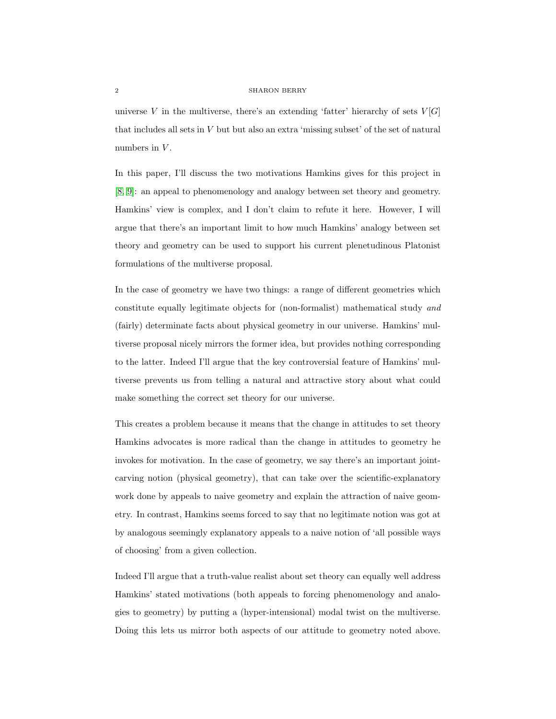universe V in the multiverse, there's an extending 'fatter' hierarchy of sets  $V[G]$ that includes all sets in V but but also an extra 'missing subset' of the set of natural numbers in  $V$ .

In this paper, I'll discuss the two motivations Hamkins gives for this project in [\[8,](#page-23-2) [9\]](#page-23-3): an appeal to phenomenology and analogy between set theory and geometry. Hamkins' view is complex, and I don't claim to refute it here. However, I will argue that there's an important limit to how much Hamkins' analogy between set theory and geometry can be used to support his current plenetudinous Platonist formulations of the multiverse proposal.

In the case of geometry we have two things: a range of different geometries which constitute equally legitimate objects for (non-formalist) mathematical study and (fairly) determinate facts about physical geometry in our universe. Hamkins' multiverse proposal nicely mirrors the former idea, but provides nothing corresponding to the latter. Indeed I'll argue that the key controversial feature of Hamkins' multiverse prevents us from telling a natural and attractive story about what could make something the correct set theory for our universe.

This creates a problem because it means that the change in attitudes to set theory Hamkins advocates is more radical than the change in attitudes to geometry he invokes for motivation. In the case of geometry, we say there's an important jointcarving notion (physical geometry), that can take over the scientific-explanatory work done by appeals to naive geometry and explain the attraction of naive geometry. In contrast, Hamkins seems forced to say that no legitimate notion was got at by analogous seemingly explanatory appeals to a naive notion of 'all possible ways of choosing' from a given collection.

Indeed I'll argue that a truth-value realist about set theory can equally well address Hamkins' stated motivations (both appeals to forcing phenomenology and analogies to geometry) by putting a (hyper-intensional) modal twist on the multiverse. Doing this lets us mirror both aspects of our attitude to geometry noted above.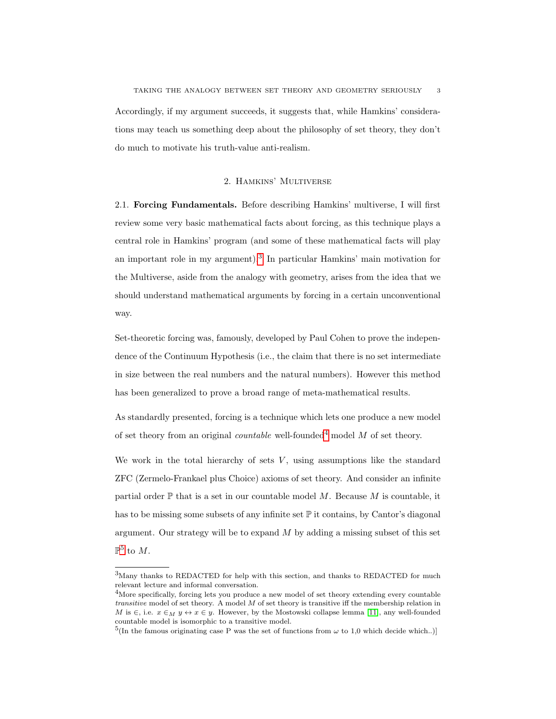Accordingly, if my argument succeeds, it suggests that, while Hamkins' considerations may teach us something deep about the philosophy of set theory, they don't do much to motivate his truth-value anti-realism.

# 2. Hamkins' Multiverse

2.1. Forcing Fundamentals. Before describing Hamkins' multiverse, I will first review some very basic mathematical facts about forcing, as this technique plays a central role in Hamkins' program (and some of these mathematical facts will play an important role in my argument).<sup>[3](#page-2-0)</sup> In particular Hamkins' main motivation for the Multiverse, aside from the analogy with geometry, arises from the idea that we should understand mathematical arguments by forcing in a certain unconventional way.

Set-theoretic forcing was, famously, developed by Paul Cohen to prove the independence of the Continuum Hypothesis (i.e., the claim that there is no set intermediate in size between the real numbers and the natural numbers). However this method has been generalized to prove a broad range of meta-mathematical results.

As standardly presented, forcing is a technique which lets one produce a new model of set theory from an original *countable* well-founded<sup>[4](#page-2-1)</sup> model  $M$  of set theory.

We work in the total hierarchy of sets  $V$ , using assumptions like the standard ZFC (Zermelo-Frankael plus Choice) axioms of set theory. And consider an infinite partial order  $\mathbb P$  that is a set in our countable model M. Because M is countable, it has to be missing some subsets of any infinite set  $\mathbb P$  it contains, by Cantor's diagonal argument. Our strategy will be to expand  $M$  by adding a missing subset of this set  $\mathbb{P}^5$  $\mathbb{P}^5$  to M.

<span id="page-2-0"></span><sup>3</sup>Many thanks to REDACTED for help with this section, and thanks to REDACTED for much relevant lecture and informal conversation.

<span id="page-2-1"></span><sup>&</sup>lt;sup>4</sup>More specifically, forcing lets you produce a new model of set theory extending every countable transitive model of set theory. A model M of set theory is transitive iff the membership relation in M is  $\in$ , i.e.  $x \in_M y \leftrightarrow x \in y$ . However, by the Mostowski collapse lemma [\[11\]](#page-23-4), any well-founded countable model is isomorphic to a transitive model.

<span id="page-2-2"></span><sup>&</sup>lt;sup>5</sup>(In the famous originating case P was the set of functions from  $\omega$  to 1,0 which decide which..)]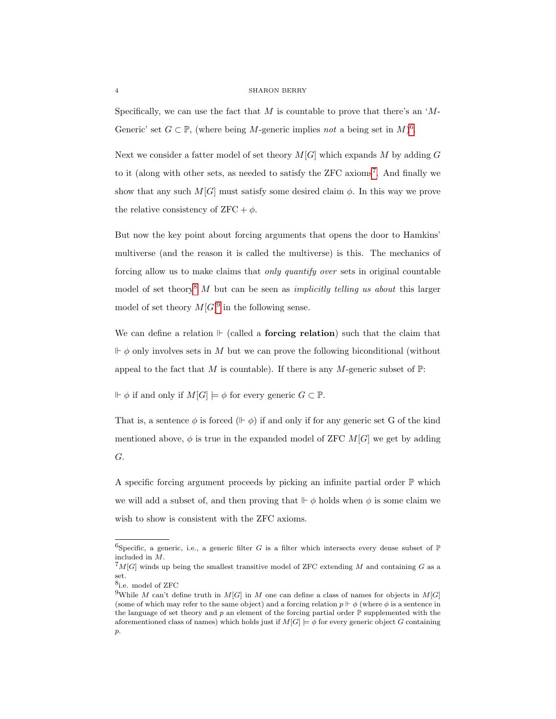Specifically, we can use the fact that  $M$  is countable to prove that there's an ' $M$ -Generic' set  $G \subset \mathbb{P}$ , (where being M-generic implies not a being set in M)<sup>[6](#page-3-0)</sup>.

Next we consider a fatter model of set theory  $M[G]$  which expands M by adding G to it (along with other sets, as needed to satisfy the ZFC axioms<sup>[7](#page-3-1)</sup>. And finally we show that any such  $M[G]$  must satisfy some desired claim  $\phi$ . In this way we prove the relative consistency of  $ZFC + \phi$ .

But now the key point about forcing arguments that opens the door to Hamkins' multiverse (and the reason it is called the multiverse) is this. The mechanics of forcing allow us to make claims that only quantify over sets in original countable model of set theory<sup>[8](#page-3-2)</sup> M but can be seen as *implicitly telling us about* this larger model of set theory  $M[G]^9$  $M[G]^9$  in the following sense.

We can define a relation  $\vdash$  (called a **forcing relation**) such that the claim that  $\Vdash \phi$  only involves sets in M but we can prove the following biconditional (without appeal to the fact that M is countable). If there is any M-generic subset of  $\mathbb{P}$ :

 $\mathbb{F} \phi$  if and only if  $M[G] \models \phi$  for every generic  $G \subset \mathbb{P}$ .

That is, a sentence  $\phi$  is forced ( $\theta \mid \phi$ ) if and only if for any generic set G of the kind mentioned above,  $\phi$  is true in the expanded model of ZFC  $M[G]$  we get by adding G.

A specific forcing argument proceeds by picking an infinite partial order  $\mathbb P$  which we will add a subset of, and then proving that  $\mathbb{F} \phi$  holds when  $\phi$  is some claim we wish to show is consistent with the ZFC axioms.

<span id="page-3-0"></span><sup>&</sup>lt;sup>6</sup>Specific, a generic, i.e., a generic filter G is a filter which intersects every dense subset of  $\mathbb P$ included in M.

<span id="page-3-1"></span> ${}^{7}M[G]$  winds up being the smallest transitive model of ZFC extending M and containing G as a set.

<span id="page-3-2"></span><sup>8</sup> i.e. model of ZFC

<span id="page-3-3"></span><sup>&</sup>lt;sup>9</sup>While M can't define truth in M[G] in M one can define a class of names for objects in M[G] (some of which may refer to the same object) and a forcing relation  $p \Vdash \phi$  (where  $\phi$  is a sentence in the language of set theory and  $p$  an element of the forcing partial order  $\mathbb P$  supplemented with the aforementioned class of names) which holds just if  $M[G] \models \phi$  for every generic object G containing  $\mathcal{D}$ .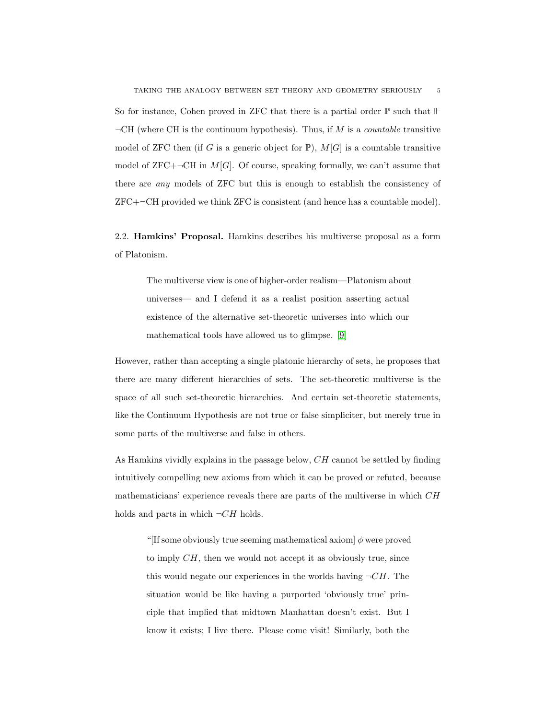So for instance, Cohen proved in ZFC that there is a partial order  $\mathbb P$  such that  $\mathbb F$  $\neg$ CH (where CH is the continuum hypothesis). Thus, if M is a *countable* transitive model of ZFC then (if G is a generic object for  $\mathbb{P}$ ),  $M[G]$  is a countable transitive model of ZFC+ $\neg$ CH in M[G]. Of course, speaking formally, we can't assume that there are any models of ZFC but this is enough to establish the consistency of  $ZFC+\neg CH$  provided we think  $ZFC$  is consistent (and hence has a countable model).

2.2. Hamkins' Proposal. Hamkins describes his multiverse proposal as a form of Platonism.

The multiverse view is one of higher-order realism—Platonism about universes— and I defend it as a realist position asserting actual existence of the alternative set-theoretic universes into which our mathematical tools have allowed us to glimpse. [\[9\]](#page-23-3)

However, rather than accepting a single platonic hierarchy of sets, he proposes that there are many different hierarchies of sets. The set-theoretic multiverse is the space of all such set-theoretic hierarchies. And certain set-theoretic statements, like the Continuum Hypothesis are not true or false simpliciter, but merely true in some parts of the multiverse and false in others.

As Hamkins vividly explains in the passage below, CH cannot be settled by finding intuitively compelling new axioms from which it can be proved or refuted, because mathematicians' experience reveals there are parts of the multiverse in which CH holds and parts in which  $\neg CH$  holds.

"[If some obviously true seeming mathematical axiom]  $\phi$  were proved to imply  $CH$ , then we would not accept it as obviously true, since this would negate our experiences in the worlds having  $\neg CH$ . The situation would be like having a purported 'obviously true' principle that implied that midtown Manhattan doesn't exist. But I know it exists; I live there. Please come visit! Similarly, both the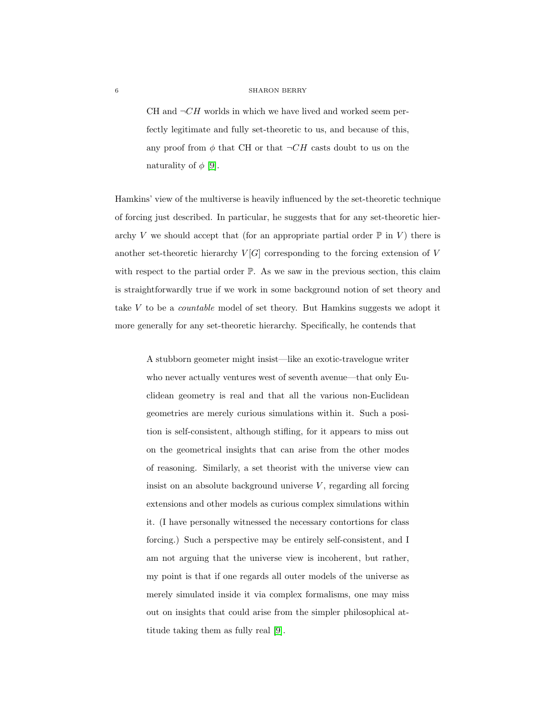CH and  $\neg CH$  worlds in which we have lived and worked seem perfectly legitimate and fully set-theoretic to us, and because of this, any proof from  $\phi$  that CH or that  $\neg CH$  casts doubt to us on the naturality of  $\phi$  [\[9\]](#page-23-3).

Hamkins' view of the multiverse is heavily influenced by the set-theoretic technique of forcing just described. In particular, he suggests that for any set-theoretic hierarchy V we should accept that (for an appropriate partial order  $\mathbb P$  in V) there is another set-theoretic hierarchy  $V[G]$  corresponding to the forcing extension of V with respect to the partial order  $\mathbb{P}$ . As we saw in the previous section, this claim is straightforwardly true if we work in some background notion of set theory and take V to be a countable model of set theory. But Hamkins suggests we adopt it more generally for any set-theoretic hierarchy. Specifically, he contends that

A stubborn geometer might insist—like an exotic-travelogue writer who never actually ventures west of seventh avenue—that only Euclidean geometry is real and that all the various non-Euclidean geometries are merely curious simulations within it. Such a position is self-consistent, although stifling, for it appears to miss out on the geometrical insights that can arise from the other modes of reasoning. Similarly, a set theorist with the universe view can insist on an absolute background universe  $V$ , regarding all forcing extensions and other models as curious complex simulations within it. (I have personally witnessed the necessary contortions for class forcing.) Such a perspective may be entirely self-consistent, and I am not arguing that the universe view is incoherent, but rather, my point is that if one regards all outer models of the universe as merely simulated inside it via complex formalisms, one may miss out on insights that could arise from the simpler philosophical attitude taking them as fully real [\[9\]](#page-23-3).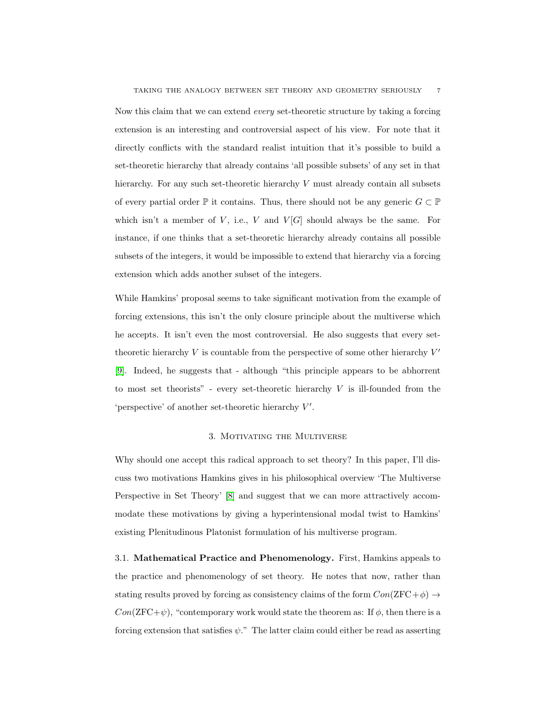Now this claim that we can extend every set-theoretic structure by taking a forcing extension is an interesting and controversial aspect of his view. For note that it directly conflicts with the standard realist intuition that it's possible to build a set-theoretic hierarchy that already contains 'all possible subsets' of any set in that hierarchy. For any such set-theoretic hierarchy V must already contain all subsets of every partial order  $\mathbb P$  it contains. Thus, there should not be any generic  $G \subset \mathbb P$ which isn't a member of V, i.e., V and  $V[G]$  should always be the same. For instance, if one thinks that a set-theoretic hierarchy already contains all possible subsets of the integers, it would be impossible to extend that hierarchy via a forcing extension which adds another subset of the integers.

While Hamkins' proposal seems to take significant motivation from the example of forcing extensions, this isn't the only closure principle about the multiverse which he accepts. It isn't even the most controversial. He also suggests that every settheoretic hierarchy  $V$  is countable from the perspective of some other hierarchy  $V'$ [\[9\]](#page-23-3). Indeed, he suggests that - although "this principle appears to be abhorrent to most set theorists" - every set-theoretic hierarchy  $V$  is ill-founded from the 'perspective' of another set-theoretic hierarchy  $V'$ .

# 3. Motivating the Multiverse

Why should one accept this radical approach to set theory? In this paper, I'll discuss two motivations Hamkins gives in his philosophical overview 'The Multiverse Perspective in Set Theory' [\[8\]](#page-23-2) and suggest that we can more attractively accommodate these motivations by giving a hyperintensional modal twist to Hamkins' existing Plenitudinous Platonist formulation of his multiverse program.

3.1. Mathematical Practice and Phenomenology. First, Hamkins appeals to the practice and phenomenology of set theory. He notes that now, rather than stating results proved by forcing as consistency claims of the form  $Con(ZFC+\phi) \rightarrow$  $Con(ZFC+\psi)$ , "contemporary work would state the theorem as: If  $\phi$ , then there is a forcing extension that satisfies  $\psi$ ." The latter claim could either be read as asserting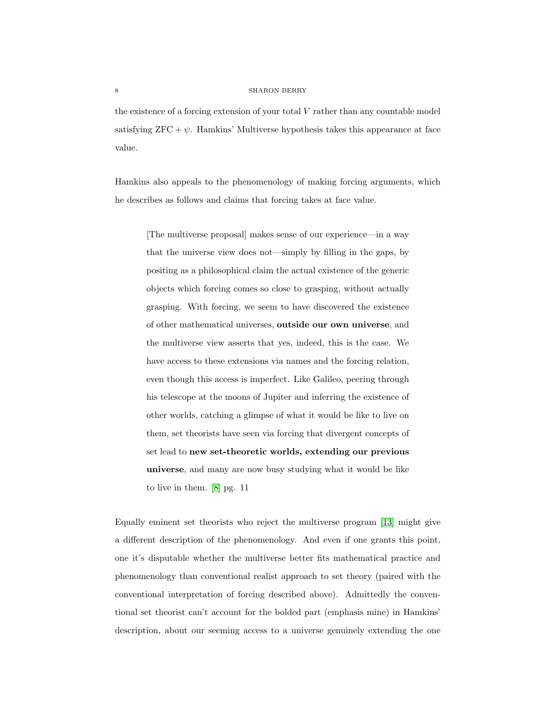the existence of a forcing extension of your total  $V$  rather than any countable model satisfying  $ZFC + \psi$ . Hamkins' Multiverse hypothesis takes this appearance at face value.

Hamkins also appeals to the phenomenology of making forcing arguments, which he describes as follows and claims that forcing takes at face value.

[The multiverse proposal] makes sense of our experience—in a way that the universe view does not—simply by filling in the gaps, by positing as a philosophical claim the actual existence of the generic objects which forcing comes so close to grasping, without actually grasping. With forcing, we seem to have discovered the existence of other mathematical universes, outside our own universe, and the multiverse view asserts that yes, indeed, this is the case. We have access to these extensions via names and the forcing relation, even though this access is imperfect. Like Galileo, peering through his telescope at the moons of Jupiter and inferring the existence of other worlds, catching a glimpse of what it would be like to live on them, set theorists have seen via forcing that divergent concepts of set lead to new set-theoretic worlds, extending our previous universe, and many are now busy studying what it would be like to live in them. [\[8\]](#page-23-2) pg. 11

Equally eminent set theorists who reject the multiverse program [\[13\]](#page-23-5) might give a different description of the phenomenology. And even if one grants this point, one it's disputable whether the multiverse better fits mathematical practice and phenomenology than conventional realist approach to set theory (paired with the conventional interpretation of forcing described above). Admittedly the conventional set theorist can't account for the bolded part (emphasis mine) in Hamkins' description, about our seeming access to a universe genuinely extending the one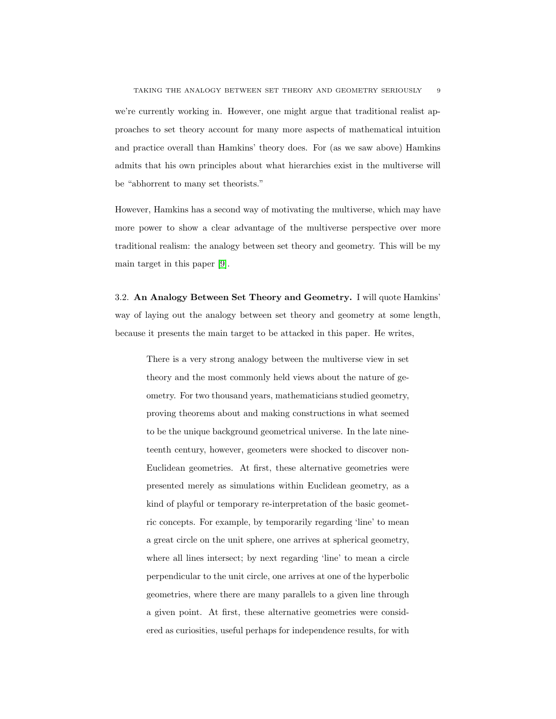we're currently working in. However, one might argue that traditional realist approaches to set theory account for many more aspects of mathematical intuition and practice overall than Hamkins' theory does. For (as we saw above) Hamkins admits that his own principles about what hierarchies exist in the multiverse will be "abhorrent to many set theorists."

However, Hamkins has a second way of motivating the multiverse, which may have more power to show a clear advantage of the multiverse perspective over more traditional realism: the analogy between set theory and geometry. This will be my main target in this paper [\[9\]](#page-23-3).

3.2. An Analogy Between Set Theory and Geometry. I will quote Hamkins' way of laying out the analogy between set theory and geometry at some length, because it presents the main target to be attacked in this paper. He writes,

There is a very strong analogy between the multiverse view in set theory and the most commonly held views about the nature of geometry. For two thousand years, mathematicians studied geometry, proving theorems about and making constructions in what seemed to be the unique background geometrical universe. In the late nineteenth century, however, geometers were shocked to discover non-Euclidean geometries. At first, these alternative geometries were presented merely as simulations within Euclidean geometry, as a kind of playful or temporary re-interpretation of the basic geometric concepts. For example, by temporarily regarding 'line' to mean a great circle on the unit sphere, one arrives at spherical geometry, where all lines intersect; by next regarding 'line' to mean a circle perpendicular to the unit circle, one arrives at one of the hyperbolic geometries, where there are many parallels to a given line through a given point. At first, these alternative geometries were considered as curiosities, useful perhaps for independence results, for with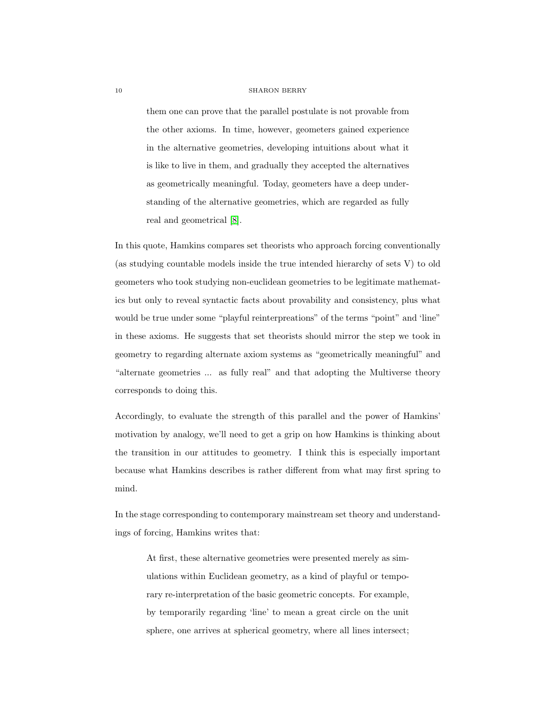them one can prove that the parallel postulate is not provable from the other axioms. In time, however, geometers gained experience in the alternative geometries, developing intuitions about what it is like to live in them, and gradually they accepted the alternatives as geometrically meaningful. Today, geometers have a deep understanding of the alternative geometries, which are regarded as fully real and geometrical [\[8\]](#page-23-2).

In this quote, Hamkins compares set theorists who approach forcing conventionally (as studying countable models inside the true intended hierarchy of sets V) to old geometers who took studying non-euclidean geometries to be legitimate mathematics but only to reveal syntactic facts about provability and consistency, plus what would be true under some "playful reinterpreations" of the terms "point" and 'line" in these axioms. He suggests that set theorists should mirror the step we took in geometry to regarding alternate axiom systems as "geometrically meaningful" and "alternate geometries ... as fully real" and that adopting the Multiverse theory corresponds to doing this.

Accordingly, to evaluate the strength of this parallel and the power of Hamkins' motivation by analogy, we'll need to get a grip on how Hamkins is thinking about the transition in our attitudes to geometry. I think this is especially important because what Hamkins describes is rather different from what may first spring to mind.

In the stage corresponding to contemporary mainstream set theory and understandings of forcing, Hamkins writes that:

At first, these alternative geometries were presented merely as simulations within Euclidean geometry, as a kind of playful or temporary re-interpretation of the basic geometric concepts. For example, by temporarily regarding 'line' to mean a great circle on the unit sphere, one arrives at spherical geometry, where all lines intersect;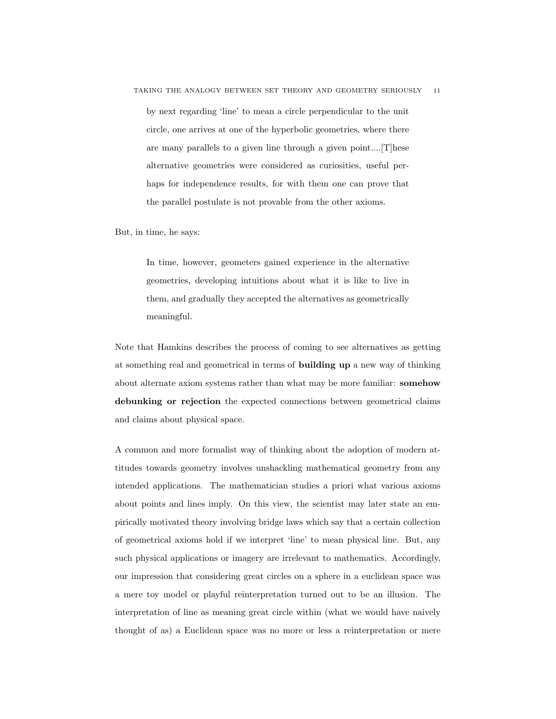by next regarding 'line' to mean a circle perpendicular to the unit circle, one arrives at one of the hyperbolic geometries, where there are many parallels to a given line through a given point....[T]hese alternative geometries were considered as curiosities, useful perhaps for independence results, for with them one can prove that the parallel postulate is not provable from the other axioms.

But, in time, he says:

In time, however, geometers gained experience in the alternative geometries, developing intuitions about what it is like to live in them, and gradually they accepted the alternatives as geometrically meaningful.

Note that Hamkins describes the process of coming to see alternatives as getting at something real and geometrical in terms of building up a new way of thinking about alternate axiom systems rather than what may be more familiar: somehow debunking or rejection the expected connections between geometrical claims and claims about physical space.

A common and more formalist way of thinking about the adoption of modern attitudes towards geometry involves unshackling mathematical geometry from any intended applications. The mathematician studies a priori what various axioms about points and lines imply. On this view, the scientist may later state an empirically motivated theory involving bridge laws which say that a certain collection of geometrical axioms hold if we interpret 'line' to mean physical line. But, any such physical applications or imagery are irrelevant to mathematics. Accordingly, our impression that considering great circles on a sphere in a euclidean space was a mere toy model or playful reinterpretation turned out to be an illusion. The interpretation of line as meaning great circle within (what we would have naively thought of as) a Euclidean space was no more or less a reinterpretation or mere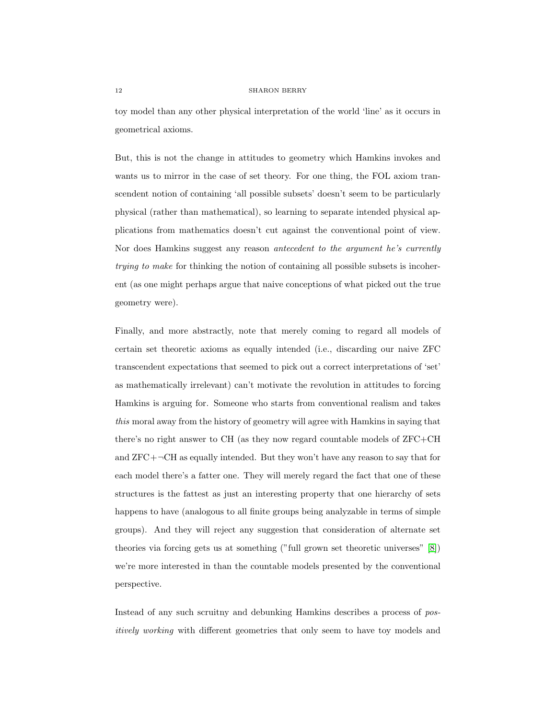toy model than any other physical interpretation of the world 'line' as it occurs in geometrical axioms.

But, this is not the change in attitudes to geometry which Hamkins invokes and wants us to mirror in the case of set theory. For one thing, the FOL axiom transcendent notion of containing 'all possible subsets' doesn't seem to be particularly physical (rather than mathematical), so learning to separate intended physical applications from mathematics doesn't cut against the conventional point of view. Nor does Hamkins suggest any reason *antecedent to the argument he's currently* trying to make for thinking the notion of containing all possible subsets is incoherent (as one might perhaps argue that naive conceptions of what picked out the true geometry were).

Finally, and more abstractly, note that merely coming to regard all models of certain set theoretic axioms as equally intended (i.e., discarding our naive ZFC transcendent expectations that seemed to pick out a correct interpretations of 'set' as mathematically irrelevant) can't motivate the revolution in attitudes to forcing Hamkins is arguing for. Someone who starts from conventional realism and takes this moral away from the history of geometry will agree with Hamkins in saying that there's no right answer to CH (as they now regard countable models of ZFC+CH and  $ZFC+\neg CH$  as equally intended. But they won't have any reason to say that for each model there's a fatter one. They will merely regard the fact that one of these structures is the fattest as just an interesting property that one hierarchy of sets happens to have (analogous to all finite groups being analyzable in terms of simple groups). And they will reject any suggestion that consideration of alternate set theories via forcing gets us at something ("full grown set theoretic universes" [\[8\]](#page-23-2)) we're more interested in than the countable models presented by the conventional perspective.

Instead of any such scruitny and debunking Hamkins describes a process of positively working with different geometries that only seem to have toy models and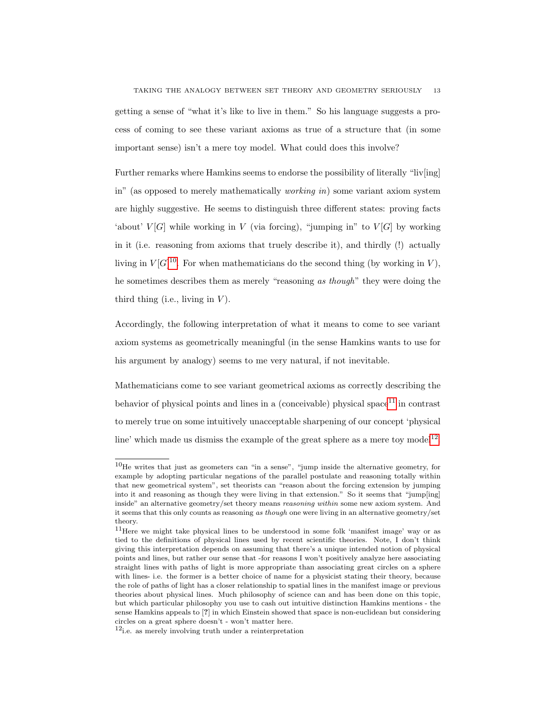TAKING THE ANALOGY BETWEEN SET THEORY AND GEOMETRY SERIOUSLY 13 getting a sense of "what it's like to live in them." So his language suggests a process of coming to see these variant axioms as true of a structure that (in some important sense) isn't a mere toy model. What could does this involve?

Further remarks where Hamkins seems to endorse the possibility of literally "liv[ing] in" (as opposed to merely mathematically *working in*) some variant axiom system are highly suggestive. He seems to distinguish three different states: proving facts 'about'  $V[G]$  while working in V (via forcing), "jumping in" to  $V[G]$  by working in it (i.e. reasoning from axioms that truely describe it), and thirdly (!) actually living in  $V[G]^{10}$  $V[G]^{10}$  $V[G]^{10}$ . For when mathematicians do the second thing (by working in V), he sometimes describes them as merely "reasoning as though" they were doing the third thing (i.e., living in  $V$ ).

Accordingly, the following interpretation of what it means to come to see variant axiom systems as geometrically meaningful (in the sense Hamkins wants to use for his argument by analogy) seems to me very natural, if not inevitable.

Mathematicians come to see variant geometrical axioms as correctly describing the behavior of physical points and lines in a (conceivable) physical space<sup>[11](#page-12-1)</sup> in contrast to merely true on some intuitively unacceptable sharpening of our concept 'physical line' which made us dismiss the example of the great sphere as a mere toy model<sup>[12](#page-12-2)</sup>.

<span id="page-12-0"></span> $10$ He writes that just as geometers can "in a sense", "jump inside the alternative geometry, for example by adopting particular negations of the parallel postulate and reasoning totally within that new geometrical system", set theorists can "reason about the forcing extension by jumping into it and reasoning as though they were living in that extension." So it seems that "jump[ing] inside" an alternative geometry/set theory means reasoning within some new axiom system. And it seems that this only counts as reasoning as though one were living in an alternative geometry/set theory.

<span id="page-12-1"></span><sup>11</sup>Here we might take physical lines to be understood in some folk 'manifest image' way or as tied to the definitions of physical lines used by recent scientific theories. Note, I don't think giving this interpretation depends on assuming that there's a unique intended notion of physical points and lines, but rather our sense that -for reasons I won't positively analyze here associating straight lines with paths of light is more appropriate than associating great circles on a sphere with lines- i.e. the former is a better choice of name for a physicist stating their theory, because the role of paths of light has a closer relationship to spatial lines in the manifest image or previous theories about physical lines. Much philosophy of science can and has been done on this topic, but which particular philosophy you use to cash out intuitive distinction Hamkins mentions - the sense Hamkins appeals to [?] in which Einstein showed that space is non-euclidean but considering circles on a great sphere doesn't - won't matter here.

<span id="page-12-2"></span> $12$ i.e. as merely involving truth under a reinterpretation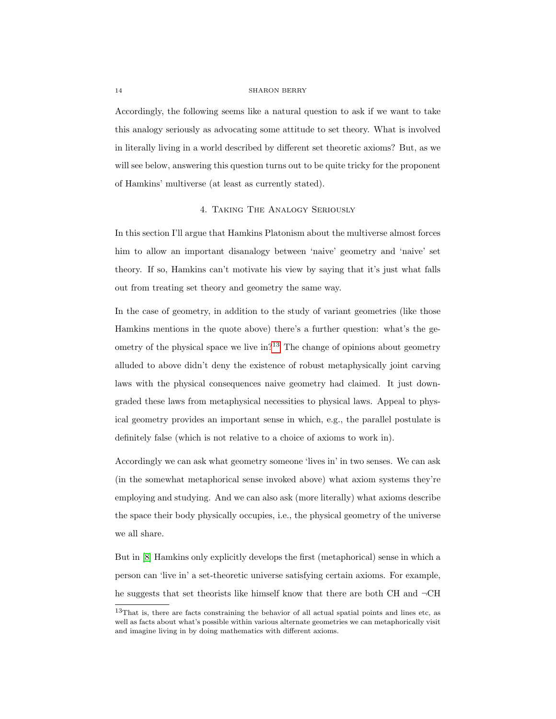Accordingly, the following seems like a natural question to ask if we want to take this analogy seriously as advocating some attitude to set theory. What is involved in literally living in a world described by different set theoretic axioms? But, as we will see below, answering this question turns out to be quite tricky for the proponent of Hamkins' multiverse (at least as currently stated).

# 4. Taking The Analogy Seriously

In this section I'll argue that Hamkins Platonism about the multiverse almost forces him to allow an important disanalogy between 'naive' geometry and 'naive' set theory. If so, Hamkins can't motivate his view by saying that it's just what falls out from treating set theory and geometry the same way.

In the case of geometry, in addition to the study of variant geometries (like those Hamkins mentions in the quote above) there's a further question: what's the geometry of the physical space we live  $\text{in}^{2^{13}}$  $\text{in}^{2^{13}}$  $\text{in}^{2^{13}}$ . The change of opinions about geometry alluded to above didn't deny the existence of robust metaphysically joint carving laws with the physical consequences naive geometry had claimed. It just downgraded these laws from metaphysical necessities to physical laws. Appeal to physical geometry provides an important sense in which, e.g., the parallel postulate is definitely false (which is not relative to a choice of axioms to work in).

Accordingly we can ask what geometry someone 'lives in' in two senses. We can ask (in the somewhat metaphorical sense invoked above) what axiom systems they're employing and studying. And we can also ask (more literally) what axioms describe the space their body physically occupies, i.e., the physical geometry of the universe we all share.

But in [\[8\]](#page-23-2) Hamkins only explicitly develops the first (metaphorical) sense in which a person can 'live in' a set-theoretic universe satisfying certain axioms. For example, he suggests that set theorists like himself know that there are both CH and ¬CH

<span id="page-13-0"></span><sup>13</sup>That is, there are facts constraining the behavior of all actual spatial points and lines etc, as well as facts about what's possible within various alternate geometries we can metaphorically visit and imagine living in by doing mathematics with different axioms.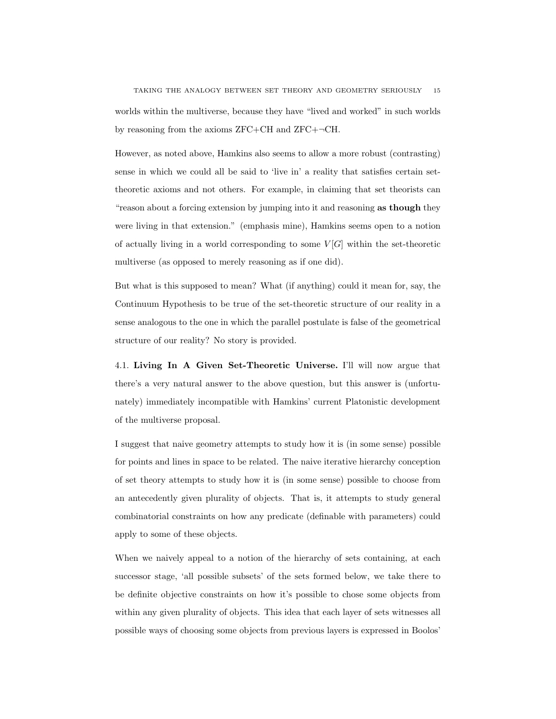TAKING THE ANALOGY BETWEEN SET THEORY AND GEOMETRY SERIOUSLY 15 worlds within the multiverse, because they have "lived and worked" in such worlds by reasoning from the axioms ZFC+CH and ZFC+¬CH.

However, as noted above, Hamkins also seems to allow a more robust (contrasting) sense in which we could all be said to 'live in' a reality that satisfies certain settheoretic axioms and not others. For example, in claiming that set theorists can "reason about a forcing extension by jumping into it and reasoning as though they were living in that extension." (emphasis mine), Hamkins seems open to a notion of actually living in a world corresponding to some  $V[G]$  within the set-theoretic multiverse (as opposed to merely reasoning as if one did).

But what is this supposed to mean? What (if anything) could it mean for, say, the Continuum Hypothesis to be true of the set-theoretic structure of our reality in a sense analogous to the one in which the parallel postulate is false of the geometrical structure of our reality? No story is provided.

<span id="page-14-0"></span>4.1. Living In A Given Set-Theoretic Universe. I'll will now argue that there's a very natural answer to the above question, but this answer is (unfortunately) immediately incompatible with Hamkins' current Platonistic development of the multiverse proposal.

I suggest that naive geometry attempts to study how it is (in some sense) possible for points and lines in space to be related. The naive iterative hierarchy conception of set theory attempts to study how it is (in some sense) possible to choose from an antecedently given plurality of objects. That is, it attempts to study general combinatorial constraints on how any predicate (definable with parameters) could apply to some of these objects.

When we naively appeal to a notion of the hierarchy of sets containing, at each successor stage, 'all possible subsets' of the sets formed below, we take there to be definite objective constraints on how it's possible to chose some objects from within any given plurality of objects. This idea that each layer of sets witnesses all possible ways of choosing some objects from previous layers is expressed in Boolos'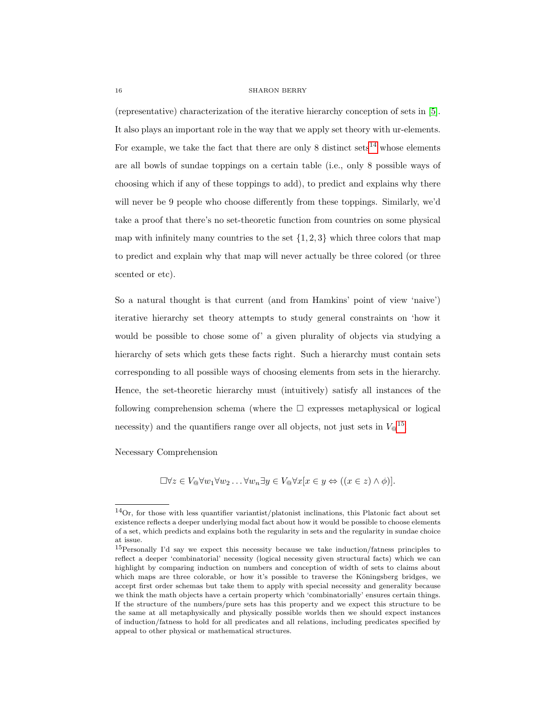(representative) characterization of the iterative hierarchy conception of sets in [\[5\]](#page-23-6). It also plays an important role in the way that we apply set theory with ur-elements. For example, we take the fact that there are only 8 distinct sets<sup>[14](#page-15-0)</sup> whose elements are all bowls of sundae toppings on a certain table (i.e., only 8 possible ways of choosing which if any of these toppings to add), to predict and explains why there will never be 9 people who choose differently from these toppings. Similarly, we'd take a proof that there's no set-theoretic function from countries on some physical map with infinitely many countries to the set  $\{1, 2, 3\}$  which three colors that map to predict and explain why that map will never actually be three colored (or three scented or etc).

So a natural thought is that current (and from Hamkins' point of view 'naive') iterative hierarchy set theory attempts to study general constraints on 'how it would be possible to chose some of' a given plurality of objects via studying a hierarchy of sets which gets these facts right. Such a hierarchy must contain sets corresponding to all possible ways of choosing elements from sets in the hierarchy. Hence, the set-theoretic hierarchy must (intuitively) satisfy all instances of the following comprehension schema (where the  $\Box$  expresses metaphysical or logical necessity) and the quantifiers range over all objects, not just sets in  $V\mathbb{Q}^{15}$  $V\mathbb{Q}^{15}$  $V\mathbb{Q}^{15}$ .

Necessary Comprehension

 $\Box \forall z \in V_{\mathcal{A}} \forall w_1 \forall w_2 \ldots \forall w_n \exists y \in V_{\mathcal{A}} \forall x [x \in y \Leftrightarrow ((x \in z) \land \phi)].$ 

<span id="page-15-0"></span><sup>14</sup>Or, for those with less quantifier variantist/platonist inclinations, this Platonic fact about set existence reflects a deeper underlying modal fact about how it would be possible to choose elements of a set, which predicts and explains both the regularity in sets and the regularity in sundae choice at issue.

<span id="page-15-1"></span><sup>15</sup>Personally I'd say we expect this necessity because we take induction/fatness principles to reflect a deeper 'combinatorial' necessity (logical necessity given structural facts) which we can highlight by comparing induction on numbers and conception of width of sets to claims about which maps are three colorable, or how it's possible to traverse the Köningsberg bridges, we accept first order schemas but take them to apply with special necessity and generality because we think the math objects have a certain property which 'combinatorially' ensures certain things. If the structure of the numbers/pure sets has this property and we expect this structure to be the same at all metaphysically and physically possible worlds then we should expect instances of induction/fatness to hold for all predicates and all relations, including predicates specified by appeal to other physical or mathematical structures.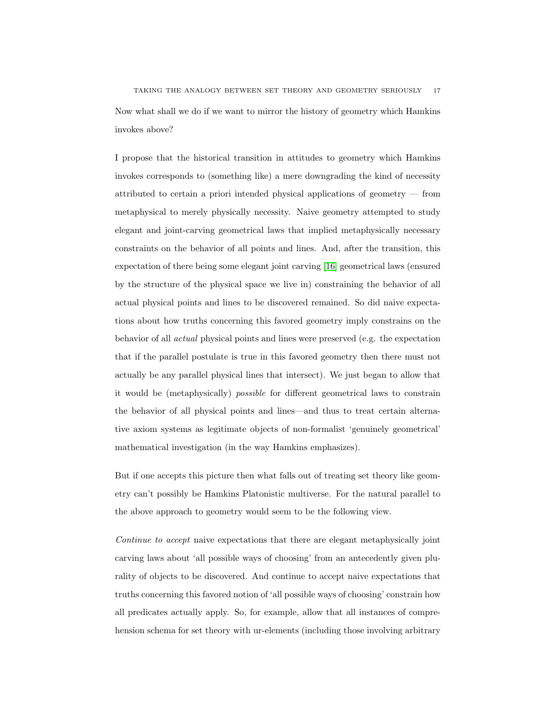Now what shall we do if we want to mirror the history of geometry which Hamkins invokes above?

I propose that the historical transition in attitudes to geometry which Hamkins invokes corresponds to (something like) a mere downgrading the kind of necessity attributed to certain a priori intended physical applications of geometry — from metaphysical to merely physically necessity. Naive geometry attempted to study elegant and joint-carving geometrical laws that implied metaphysically necessary constraints on the behavior of all points and lines. And, after the transition, this expectation of there being some elegant joint carving [\[16\]](#page-24-0) geometrical laws (ensured by the structure of the physical space we live in) constraining the behavior of all actual physical points and lines to be discovered remained. So did naive expectations about how truths concerning this favored geometry imply constrains on the behavior of all actual physical points and lines were preserved (e.g. the expectation that if the parallel postulate is true in this favored geometry then there must not actually be any parallel physical lines that intersect). We just began to allow that it would be (metaphysically) possible for different geometrical laws to constrain the behavior of all physical points and lines—and thus to treat certain alternative axiom systems as legitimate objects of non-formalist 'genuinely geometrical' mathematical investigation (in the way Hamkins emphasizes).

But if one accepts this picture then what falls out of treating set theory like geometry can't possibly be Hamkins Platonistic multiverse. For the natural parallel to the above approach to geometry would seem to be the following view.

Continue to accept naive expectations that there are elegant metaphysically joint carving laws about 'all possible ways of choosing' from an antecedently given plurality of objects to be discovered. And continue to accept naive expectations that truths concerning this favored notion of 'all possible ways of choosing' constrain how all predicates actually apply. So, for example, allow that all instances of comprehension schema for set theory with ur-elements (including those involving arbitrary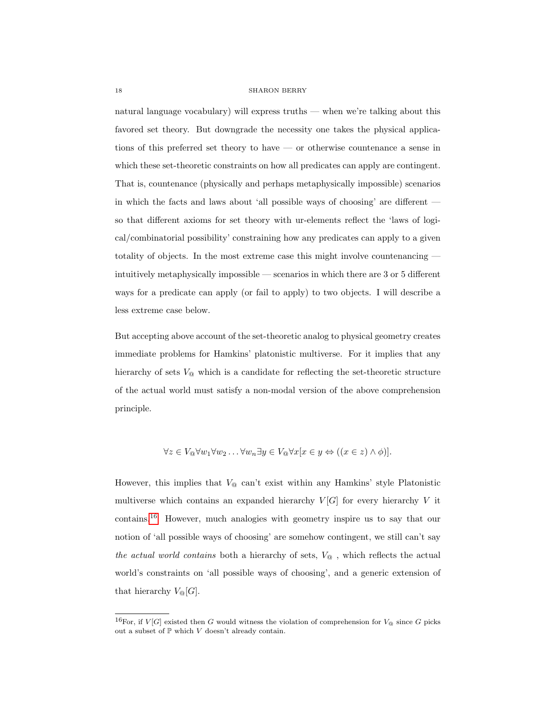natural language vocabulary) will express truths — when we're talking about this favored set theory. But downgrade the necessity one takes the physical applications of this preferred set theory to have — or otherwise countenance a sense in which these set-theoretic constraints on how all predicates can apply are contingent. That is, countenance (physically and perhaps metaphysically impossible) scenarios in which the facts and laws about 'all possible ways of choosing' are different so that different axioms for set theory with ur-elements reflect the 'laws of logical/combinatorial possibility' constraining how any predicates can apply to a given totality of objects. In the most extreme case this might involve countenancing intuitively metaphysically impossible — scenarios in which there are 3 or 5 different ways for a predicate can apply (or fail to apply) to two objects. I will describe a less extreme case below.

But accepting above account of the set-theoretic analog to physical geometry creates immediate problems for Hamkins' platonistic multiverse. For it implies that any hierarchy of sets  $V_{\mathfrak{D}}$  which is a candidate for reflecting the set-theoretic structure of the actual world must satisfy a non-modal version of the above comprehension principle.

$$
\forall z \in V_{\mathbb{Q}} \forall w_1 \forall w_2 \dots \forall w_n \exists y \in V_{\mathbb{Q}} \forall x [x \in y \Leftrightarrow ((x \in z) \land \phi)].
$$

However, this implies that  $V_{\mathcal{Q}}$  can't exist within any Hamkins' style Platonistic multiverse which contains an expanded hierarchy  $V[G]$  for every hierarchy V it contains.[16](#page-17-0) However, much analogies with geometry inspire us to say that our notion of 'all possible ways of choosing' are somehow contingent, we still can't say the actual world contains both a hierarchy of sets,  $V_{\mathcal{Q}}$ , which reflects the actual world's constraints on 'all possible ways of choosing', and a generic extension of that hierarchy  $V_{\mathcal{Q}}[G].$ 

<span id="page-17-0"></span><sup>&</sup>lt;sup>16</sup>For, if  $V[G]$  existed then G would witness the violation of comprehension for  $V_{\textcircled{a}}$  since G picks out a subset of  $\mathbb P$  which  $V$  doesn't already contain.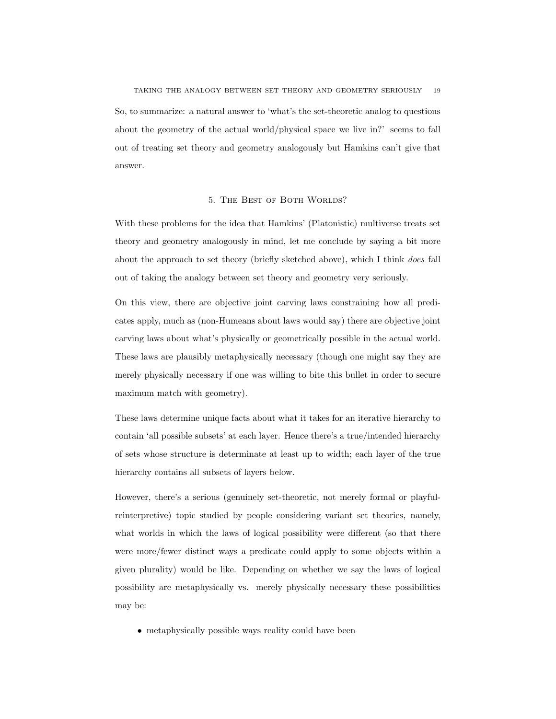TAKING THE ANALOGY BETWEEN SET THEORY AND GEOMETRY SERIOUSLY 19 So, to summarize: a natural answer to 'what's the set-theoretic analog to questions about the geometry of the actual world/physical space we live in?' seems to fall out of treating set theory and geometry analogously but Hamkins can't give that answer.

# 5. THE BEST OF BOTH WORLDS?

With these problems for the idea that Hamkins' (Platonistic) multiverse treats set theory and geometry analogously in mind, let me conclude by saying a bit more about the approach to set theory (briefly sketched above), which I think does fall out of taking the analogy between set theory and geometry very seriously.

On this view, there are objective joint carving laws constraining how all predicates apply, much as (non-Humeans about laws would say) there are objective joint carving laws about what's physically or geometrically possible in the actual world. These laws are plausibly metaphysically necessary (though one might say they are merely physically necessary if one was willing to bite this bullet in order to secure maximum match with geometry).

These laws determine unique facts about what it takes for an iterative hierarchy to contain 'all possible subsets' at each layer. Hence there's a true/intended hierarchy of sets whose structure is determinate at least up to width; each layer of the true hierarchy contains all subsets of layers below.

However, there's a serious (genuinely set-theoretic, not merely formal or playfulreinterpretive) topic studied by people considering variant set theories, namely, what worlds in which the laws of logical possibility were different (so that there were more/fewer distinct ways a predicate could apply to some objects within a given plurality) would be like. Depending on whether we say the laws of logical possibility are metaphysically vs. merely physically necessary these possibilities may be:

• metaphysically possible ways reality could have been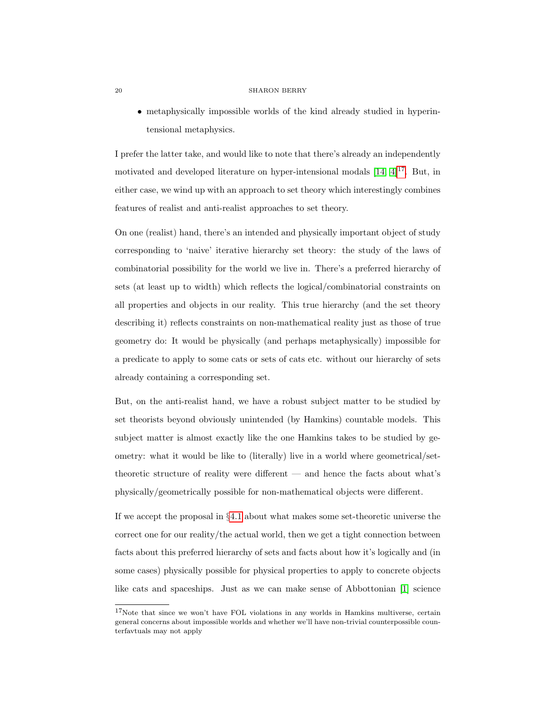• metaphysically impossible worlds of the kind already studied in hyperintensional metaphysics.

I prefer the latter take, and would like to note that there's already an independently motivated and developed literature on hyper-intensional modals  $[14, 4]^{17}$  $[14, 4]^{17}$  $[14, 4]^{17}$  $[14, 4]^{17}$  $[14, 4]^{17}$ . But, in either case, we wind up with an approach to set theory which interestingly combines features of realist and anti-realist approaches to set theory.

On one (realist) hand, there's an intended and physically important object of study corresponding to 'naive' iterative hierarchy set theory: the study of the laws of combinatorial possibility for the world we live in. There's a preferred hierarchy of sets (at least up to width) which reflects the logical/combinatorial constraints on all properties and objects in our reality. This true hierarchy (and the set theory describing it) reflects constraints on non-mathematical reality just as those of true geometry do: It would be physically (and perhaps metaphysically) impossible for a predicate to apply to some cats or sets of cats etc. without our hierarchy of sets already containing a corresponding set.

But, on the anti-realist hand, we have a robust subject matter to be studied by set theorists beyond obviously unintended (by Hamkins) countable models. This subject matter is almost exactly like the one Hamkins takes to be studied by geometry: what it would be like to (literally) live in a world where geometrical/settheoretic structure of reality were different — and hence the facts about what's physically/geometrically possible for non-mathematical objects were different.

If we accept the proposal in §[4.1](#page-14-0) about what makes some set-theoretic universe the correct one for our reality/the actual world, then we get a tight connection between facts about this preferred hierarchy of sets and facts about how it's logically and (in some cases) physically possible for physical properties to apply to concrete objects like cats and spaceships. Just as we can make sense of Abbottonian [\[1\]](#page-23-9) science

<span id="page-19-0"></span><sup>&</sup>lt;sup>17</sup>Note that since we won't have FOL violations in any worlds in Hamkins multiverse, certain general concerns about impossible worlds and whether we'll have non-trivial counterpossible counterfavtuals may not apply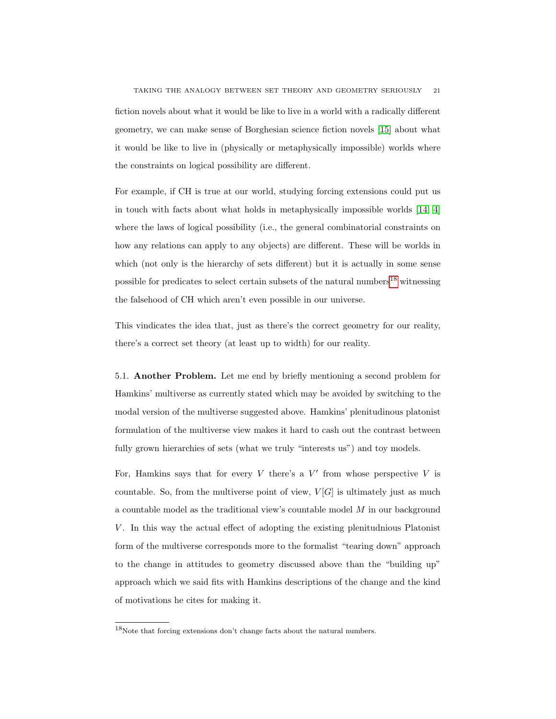fiction novels about what it would be like to live in a world with a radically different geometry, we can make sense of Borghesian science fiction novels [\[15\]](#page-24-1) about what it would be like to live in (physically or metaphysically impossible) worlds where the constraints on logical possibility are different.

For example, if CH is true at our world, studying forcing extensions could put us in touch with facts about what holds in metaphysically impossible worlds [\[14,](#page-23-7) [4\]](#page-23-8) where the laws of logical possibility (i.e., the general combinatorial constraints on how any relations can apply to any objects) are different. These will be worlds in which (not only is the hierarchy of sets different) but it is actually in some sense possible for predicates to select certain subsets of the natural numbers<sup>[18](#page-20-0)</sup> witnessing the falsehood of CH which aren't even possible in our universe.

This vindicates the idea that, just as there's the correct geometry for our reality, there's a correct set theory (at least up to width) for our reality.

5.1. Another Problem. Let me end by briefly mentioning a second problem for Hamkins' multiverse as currently stated which may be avoided by switching to the modal version of the multiverse suggested above. Hamkins' plenitudinous platonist formulation of the multiverse view makes it hard to cash out the contrast between fully grown hierarchies of sets (what we truly "interests us") and toy models.

For, Hamkins says that for every  $V$  there's a  $V'$  from whose perspective  $V$  is countable. So, from the multiverse point of view,  $V[G]$  is ultimately just as much a countable model as the traditional view's countable model M in our background V . In this way the actual effect of adopting the existing plenitudnious Platonist form of the multiverse corresponds more to the formalist "tearing down" approach to the change in attitudes to geometry discussed above than the "building up" approach which we said fits with Hamkins descriptions of the change and the kind of motivations he cites for making it.

<span id="page-20-0"></span> $^{18}\rm{Note}$  that forcing extensions don't change facts about the natural numbers.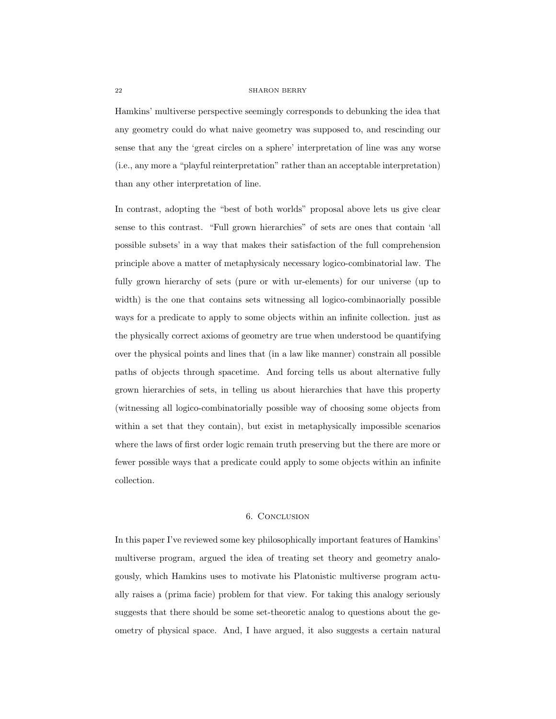Hamkins' multiverse perspective seemingly corresponds to debunking the idea that any geometry could do what naive geometry was supposed to, and rescinding our sense that any the 'great circles on a sphere' interpretation of line was any worse (i.e., any more a "playful reinterpretation" rather than an acceptable interpretation) than any other interpretation of line.

In contrast, adopting the "best of both worlds" proposal above lets us give clear sense to this contrast. "Full grown hierarchies" of sets are ones that contain 'all possible subsets' in a way that makes their satisfaction of the full comprehension principle above a matter of metaphysicaly necessary logico-combinatorial law. The fully grown hierarchy of sets (pure or with ur-elements) for our universe (up to width) is the one that contains sets witnessing all logico-combinaorially possible ways for a predicate to apply to some objects within an infinite collection. just as the physically correct axioms of geometry are true when understood be quantifying over the physical points and lines that (in a law like manner) constrain all possible paths of objects through spacetime. And forcing tells us about alternative fully grown hierarchies of sets, in telling us about hierarchies that have this property (witnessing all logico-combinatorially possible way of choosing some objects from within a set that they contain), but exist in metaphysically impossible scenarios where the laws of first order logic remain truth preserving but the there are more or fewer possible ways that a predicate could apply to some objects within an infinite collection.

### 6. Conclusion

In this paper I've reviewed some key philosophically important features of Hamkins' multiverse program, argued the idea of treating set theory and geometry analogously, which Hamkins uses to motivate his Platonistic multiverse program actually raises a (prima facie) problem for that view. For taking this analogy seriously suggests that there should be some set-theoretic analog to questions about the geometry of physical space. And, I have argued, it also suggests a certain natural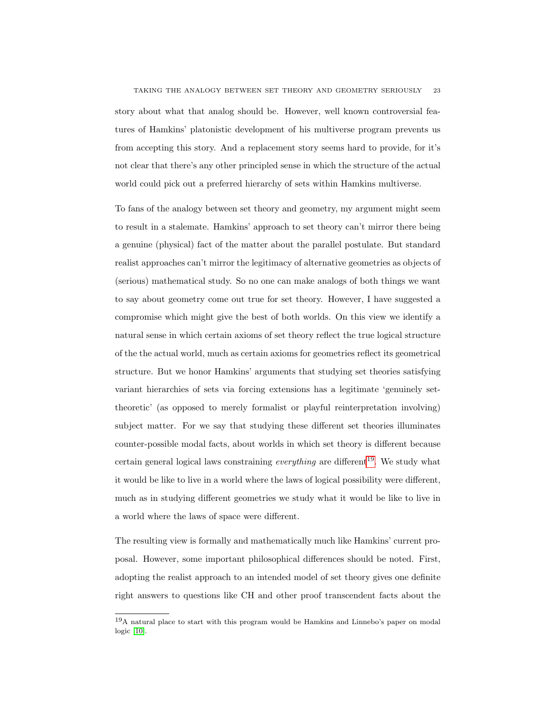story about what that analog should be. However, well known controversial features of Hamkins' platonistic development of his multiverse program prevents us from accepting this story. And a replacement story seems hard to provide, for it's not clear that there's any other principled sense in which the structure of the actual world could pick out a preferred hierarchy of sets within Hamkins multiverse.

To fans of the analogy between set theory and geometry, my argument might seem to result in a stalemate. Hamkins' approach to set theory can't mirror there being a genuine (physical) fact of the matter about the parallel postulate. But standard realist approaches can't mirror the legitimacy of alternative geometries as objects of (serious) mathematical study. So no one can make analogs of both things we want to say about geometry come out true for set theory. However, I have suggested a compromise which might give the best of both worlds. On this view we identify a natural sense in which certain axioms of set theory reflect the true logical structure of the the actual world, much as certain axioms for geometries reflect its geometrical structure. But we honor Hamkins' arguments that studying set theories satisfying variant hierarchies of sets via forcing extensions has a legitimate 'genuinely settheoretic' (as opposed to merely formalist or playful reinterpretation involving) subject matter. For we say that studying these different set theories illuminates counter-possible modal facts, about worlds in which set theory is different because certain general logical laws constraining *everything* are different<sup>[19](#page-22-0)</sup>. We study what it would be like to live in a world where the laws of logical possibility were different, much as in studying different geometries we study what it would be like to live in a world where the laws of space were different.

The resulting view is formally and mathematically much like Hamkins' current proposal. However, some important philosophical differences should be noted. First, adopting the realist approach to an intended model of set theory gives one definite right answers to questions like CH and other proof transcendent facts about the

<span id="page-22-0"></span><sup>19</sup>A natural place to start with this program would be Hamkins and Linnebo's paper on modal logic [\[10\]](#page-23-10).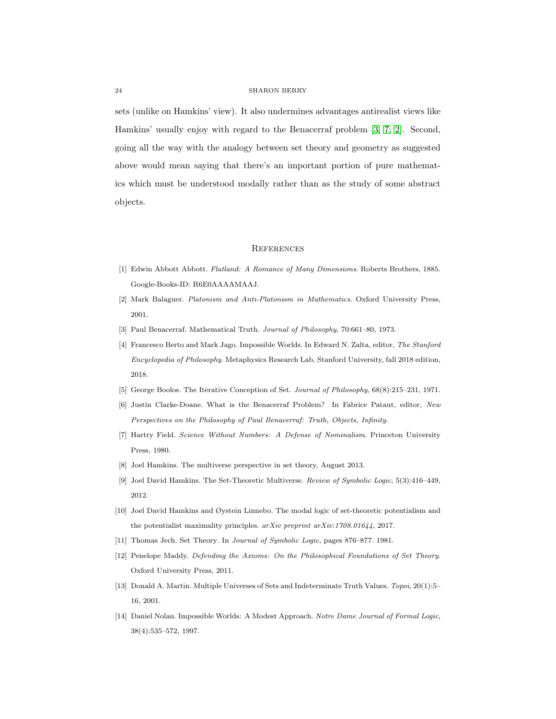sets (unlike on Hamkins' view). It also undermines advantages antirealist views like Hamkins' usually enjoy with regard to the Benacerraf problem [\[3,](#page-23-11) [7,](#page-23-12) [2\]](#page-23-13). Second, going all the way with the analogy between set theory and geometry as suggested above would mean saying that there's an important portion of pure mathematics which must be understood modally rather than as the study of some abstract objects.

#### **REFERENCES**

- <span id="page-23-9"></span>[1] Edwin Abbott Abbott. Flatland: A Romance of Many Dimensions. Roberts Brothers, 1885. Google-Books-ID: R6E0AAAAMAAJ.
- <span id="page-23-13"></span>[2] Mark Balaguer. Platonism and Anti-Platonism in Mathematics. Oxford University Press, 2001.
- <span id="page-23-11"></span>[3] Paul Benacerraf. Mathematical Truth. Journal of Philosophy, 70:661–80, 1973.
- <span id="page-23-8"></span>[4] Francesco Berto and Mark Jago. Impossible Worlds. In Edward N. Zalta, editor, The Stanford Encyclopedia of Philosophy. Metaphysics Research Lab, Stanford University, fall 2018 edition, 2018.
- <span id="page-23-6"></span>[5] George Boolos. The Iterative Conception of Set. Journal of Philosophy, 68(8):215–231, 1971.
- <span id="page-23-0"></span>[6] Justin Clarke-Doane. What is the Benacerraf Problem? In Fabrice Pataut, editor, New Perspectives on the Philosophy of Paul Benacerraf: Truth, Objects, Infinity.
- <span id="page-23-12"></span>[7] Hartry Field. Science Without Numbers: A Defense of Nominalism. Princeton University Press, 1980.
- <span id="page-23-2"></span>[8] Joel Hamkins. The multiverse perspective in set theory, August 2013.
- <span id="page-23-3"></span>[9] Joel David Hamkins. The Set-Theoretic Multiverse. Review of Symbolic Logic, 5(3):416–449, 2012.
- <span id="page-23-10"></span>[10] Joel David Hamkins and Øystein Linnebo. The modal logic of set-theoretic potentialism and the potentialist maximality principles.  $arXiv$  preprint  $arXiv:1708.01644$ , 2017.
- <span id="page-23-4"></span><span id="page-23-1"></span>[11] Thomas Jech. Set Theory. In Journal of Symbolic Logic, pages 876–877. 1981.
- [12] Penelope Maddy. Defending the Axioms: On the Philosophical Foundations of Set Theory. Oxford University Press, 2011.
- <span id="page-23-5"></span>[13] Donald A. Martin. Multiple Universes of Sets and Indeterminate Truth Values. Topoi, 20(1):5– 16, 2001.
- <span id="page-23-7"></span>[14] Daniel Nolan. Impossible Worlds: A Modest Approach. Notre Dame Journal of Formal Logic, 38(4):535–572, 1997.